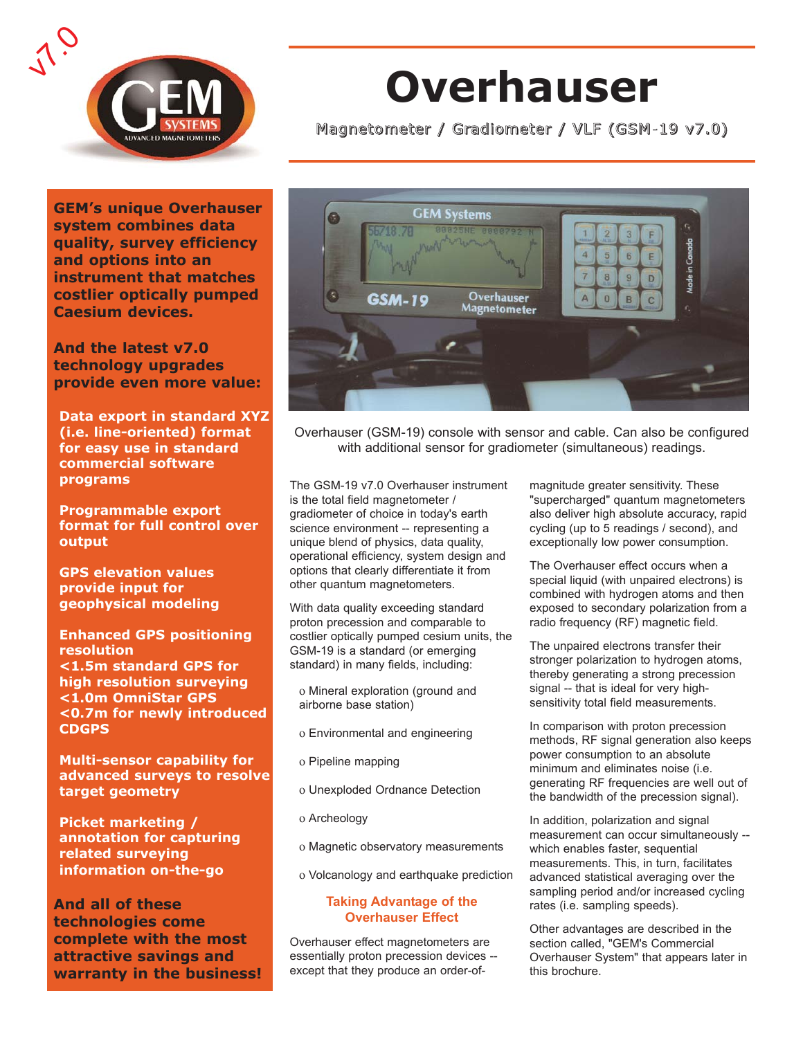

# **Overhauser**

Magnetometer / Gradiometer / VLF (GSM-19 v7.0)

**GEM's unique Overhauser system combines data quality, survey efficiency and options into an instrument that matches costlier optically pumped Caesium devices.**

**And the latest v7.0 technology upgrades provide even more value:**

**Data export in standard XYZ (i.e. line-oriented) format for easy use in standard commercial software programs**

**Programmable export format for full control over output**

**GPS elevation values provide input for geophysical modeling**

**Enhanced GPS positioning resolution <1.5m standard GPS for high resolution surveying <1.0m OmniStar GPS <0.7m for newly introduced CDGPS**

**Multi-sensor capability for advanced surveys to resolve target geometry**

**Picket marketing / annotation for capturing related surveying information on-the-go**

**And all of these technologies come complete with the most attractive savings and warranty in the business!**



Overhauser (GSM-19) console with sensor and cable. Can also be configured with additional sensor for gradiometer (simultaneous) readings.

The GSM-19 v7.0 Overhauser instrument is the total field magnetometer / gradiometer of choice in today's earth science environment -- representing a unique blend of physics, data quality, operational efficiency, system design and options that clearly differentiate it from other quantum magnetometers.

With data quality exceeding standard proton precession and comparable to costlier optically pumped cesium units, the GSM-19 is a standard (or emerging standard) in many fields, including:

- ο Mineral exploration (ground and airborne base station)
- ο Environmental and engineering
- ο Pipeline mapping
- ο Unexploded Ordnance Detection
- ο Archeology
- ο Magnetic observatory measurements
- ο Volcanology and earthquake prediction

#### **Taking Advantage of the Overhauser Effect**

Overhauser effect magnetometers are essentially proton precession devices - except that they produce an order-ofmagnitude greater sensitivity. These "supercharged" quantum magnetometers also deliver high absolute accuracy, rapid cycling (up to 5 readings / second), and exceptionally low power consumption.

The Overhauser effect occurs when a special liquid (with unpaired electrons) is combined with hydrogen atoms and then exposed to secondary polarization from a radio frequency (RF) magnetic field.

The unpaired electrons transfer their stronger polarization to hydrogen atoms, thereby generating a strong precession signal -- that is ideal for very highsensitivity total field measurements.

In comparison with proton precession methods, RF signal generation also keeps power consumption to an absolute minimum and eliminates noise (i.e. generating RF frequencies are well out of the bandwidth of the precession signal).

In addition, polarization and signal measurement can occur simultaneously - which enables faster, sequential measurements. This, in turn, facilitates advanced statistical averaging over the sampling period and/or increased cycling rates (i.e. sampling speeds).

Other advantages are described in the section called, "GEM's Commercial Overhauser System" that appears later in this brochure.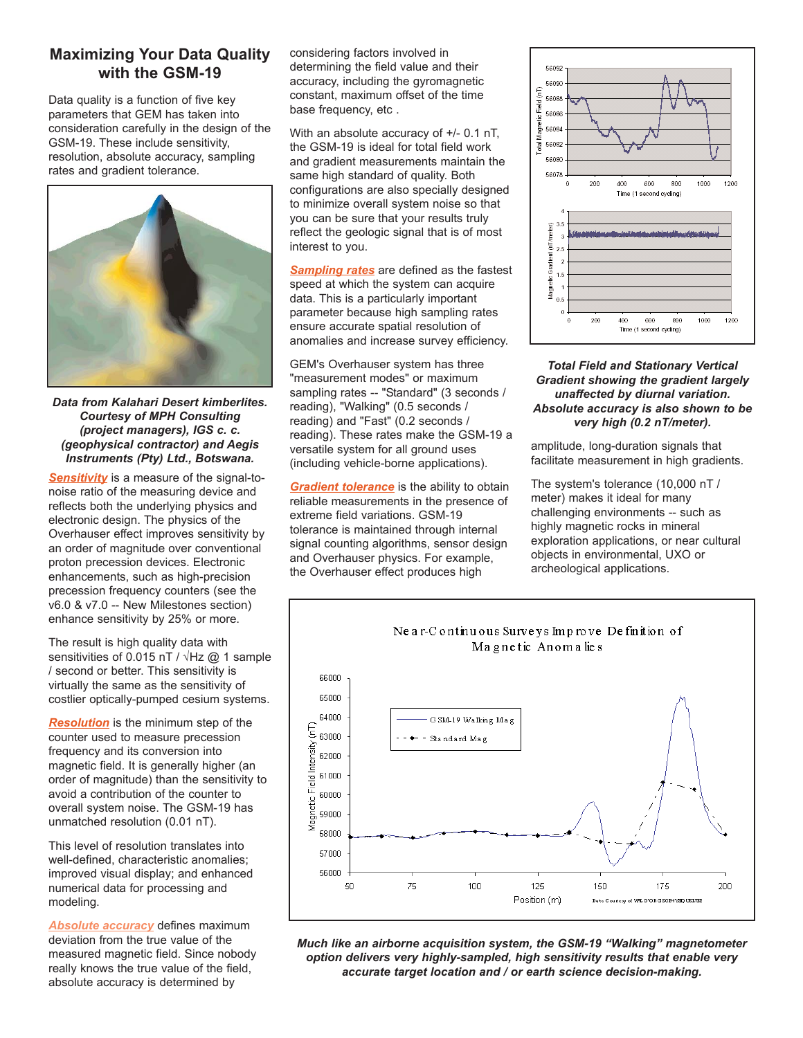## **Maximizing Your Data Quality with the GSM-19**

Data quality is a function of five key parameters that GEM has taken into consideration carefully in the design of the GSM-19. These include sensitivity, resolution, absolute accuracy, sampling rates and gradient tolerance.



*Data from Kalahari Desert kimberlites. Courtesy of MPH Consulting (project managers), IGS c. c. (geophysical contractor) and Aegis Instruments (Pty) Ltd., Botswana.*

**Sensitivity** is a measure of the signal-tonoise ratio of the measuring device and reflects both the underlying physics and electronic design. The physics of the Overhauser effect improves sensitivity by an order of magnitude over conventional proton precession devices. Electronic enhancements, such as high-precision precession frequency counters (see the v6.0 & v7.0 -- New Milestones section) enhance sensitivity by 25% or more.

The result is high quality data with sensitivities of 0.015 nT /  $\sqrt{Hz}$  @ 1 sample / second or better. This sensitivity is virtually the same as the sensitivity of costlier optically-pumped cesium systems.

*Resolution* is the minimum step of the counter used to measure precession frequency and its conversion into magnetic field. It is generally higher (an order of magnitude) than the sensitivity to avoid a contribution of the counter to overall system noise. The GSM-19 has unmatched resolution (0.01 nT).

This level of resolution translates into well-defined, characteristic anomalies; improved visual display; and enhanced numerical data for processing and modeling.

*Absolute accuracy* defines maximum deviation from the true value of the measured magnetic field. Since nobody really knows the true value of the field, absolute accuracy is determined by

considering factors involved in determining the field value and their accuracy, including the gyromagnetic constant, maximum offset of the time base frequency, etc .

With an absolute accuracy of +/- 0.1 nT, the GSM-19 is ideal for total field work and gradient measurements maintain the same high standard of quality. Both configurations are also specially designed to minimize overall system noise so that you can be sure that your results truly reflect the geologic signal that is of most interest to you.

*Sampling rates* are defined as the fastest speed at which the system can acquire data. This is a particularly important parameter because high sampling rates ensure accurate spatial resolution of anomalies and increase survey efficiency.

GEM's Overhauser system has three "measurement modes" or maximum sampling rates -- "Standard" (3 seconds / reading), "Walking" (0.5 seconds / reading) and "Fast" (0.2 seconds / reading). These rates make the GSM-19 a versatile system for all ground uses (including vehicle-borne applications).

*Gradient tolerance* is the ability to obtain reliable measurements in the presence of extreme field variations. GSM-19 tolerance is maintained through internal signal counting algorithms, sensor design and Overhauser physics. For example, the Overhauser effect produces high



#### *Total Field and Stationary Vertical Gradient showing the gradient largely unaffected by diurnal variation. Absolute accuracy is also shown to be very high (0.2 nT/meter).*

amplitude, long-duration signals that facilitate measurement in high gradients.

The system's tolerance (10,000 nT / meter) makes it ideal for many challenging environments -- such as highly magnetic rocks in mineral exploration applications, or near cultural objects in environmental, UXO or archeological applications.



*Much like an airborne acquisition system, the GSM-19 "Walking" magnetometer option delivers very highly-sampled, high sensitivity results that enable very accurate target location and / or earth science decision-making.*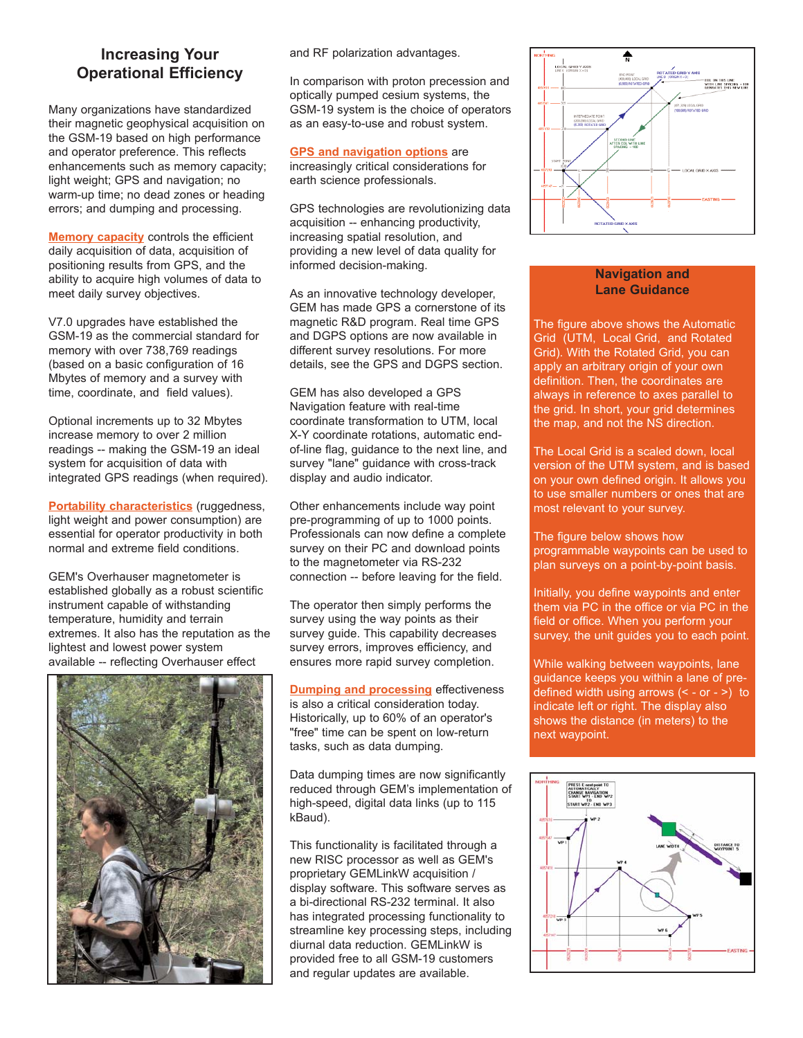## **Increasing Your Operational Efficiency**

Many organizations have standardized their magnetic geophysical acquisition on the GSM-19 based on high performance and operator preference. This reflects enhancements such as memory capacity; light weight; GPS and navigation; no warm-up time; no dead zones or heading errors; and dumping and processing.

**Memory capacity** controls the efficient daily acquisition of data, acquisition of positioning results from GPS, and the ability to acquire high volumes of data to meet daily survey objectives.

V7.0 upgrades have established the GSM-19 as the commercial standard for memory with over 738,769 readings (based on a basic configuration of 16 Mbytes of memory and a survey with time, coordinate, and field values).

Optional increments up to 32 Mbytes increase memory to over 2 million readings -- making the GSM-19 an ideal system for acquisition of data with integrated GPS readings (when required).

**Portability characteristics** (ruggedness, light weight and power consumption) are essential for operator productivity in both normal and extreme field conditions.

GEM's Overhauser magnetometer is established globally as a robust scientific instrument capable of withstanding temperature, humidity and terrain extremes. It also has the reputation as the lightest and lowest power system available -- reflecting Overhauser effect



and RF polarization advantages.

In comparison with proton precession and optically pumped cesium systems, the GSM-19 system is the choice of operators as an easy-to-use and robust system.

**GPS and navigation options** are increasingly critical considerations for earth science professionals.

GPS technologies are revolutionizing data acquisition -- enhancing productivity, increasing spatial resolution, and providing a new level of data quality for informed decision-making.

As an innovative technology developer, GEM has made GPS a cornerstone of its magnetic R&D program. Real time GPS and DGPS options are now available in different survey resolutions. For more details, see the GPS and DGPS section.

GEM has also developed a GPS Navigation feature with real-time coordinate transformation to UTM, local X-Y coordinate rotations, automatic endof-line flag, guidance to the next line, and survey "lane" guidance with cross-track display and audio indicator.

Other enhancements include way point pre-programming of up to 1000 points. Professionals can now define a complete survey on their PC and download points to the magnetometer via RS-232 connection -- before leaving for the field.

The operator then simply performs the survey using the way points as their survey guide. This capability decreases survey errors, improves efficiency, and ensures more rapid survey completion.

**Dumping and processing** effectiveness is also a critical consideration today. Historically, up to 60% of an operator's "free" time can be spent on low-return tasks, such as data dumping.

Data dumping times are now significantly reduced through GEM's implementation of high-speed, digital data links (up to 115 kBaud).

This functionality is facilitated through a new RISC processor as well as GEM's proprietary GEMLinkW acquisition / display software. This software serves as a bi-directional RS-232 terminal. It also has integrated processing functionality to streamline key processing steps, including diurnal data reduction. GEMLinkW is provided free to all GSM-19 customers and regular updates are available.



## **Navigation and Lane Guidance**

The figure above shows the Automatic Grid (UTM, Local Grid, and Rotated Grid). With the Rotated Grid, you can apply an arbitrary origin of your own definition. Then, the coordinates are always in reference to axes parallel to the grid. In short, your grid determines the map, and not the NS direction.

The Local Grid is a scaled down, local version of the UTM system, and is based on your own defined origin. It allows you to use smaller numbers or ones that are most relevant to your survey.

The figure below shows how programmable waypoints can be used to plan surveys on a point-by-point basis.

Initially, you define waypoints and enter them via PC in the office or via PC in the field or office. When you perform your survey, the unit guides you to each point.

While walking between waypoints, lane guidance keeps you within a lane of predefined width using arrows (< - or - >) to indicate left or right. The display also shows the distance (in meters) to the next waypoint.

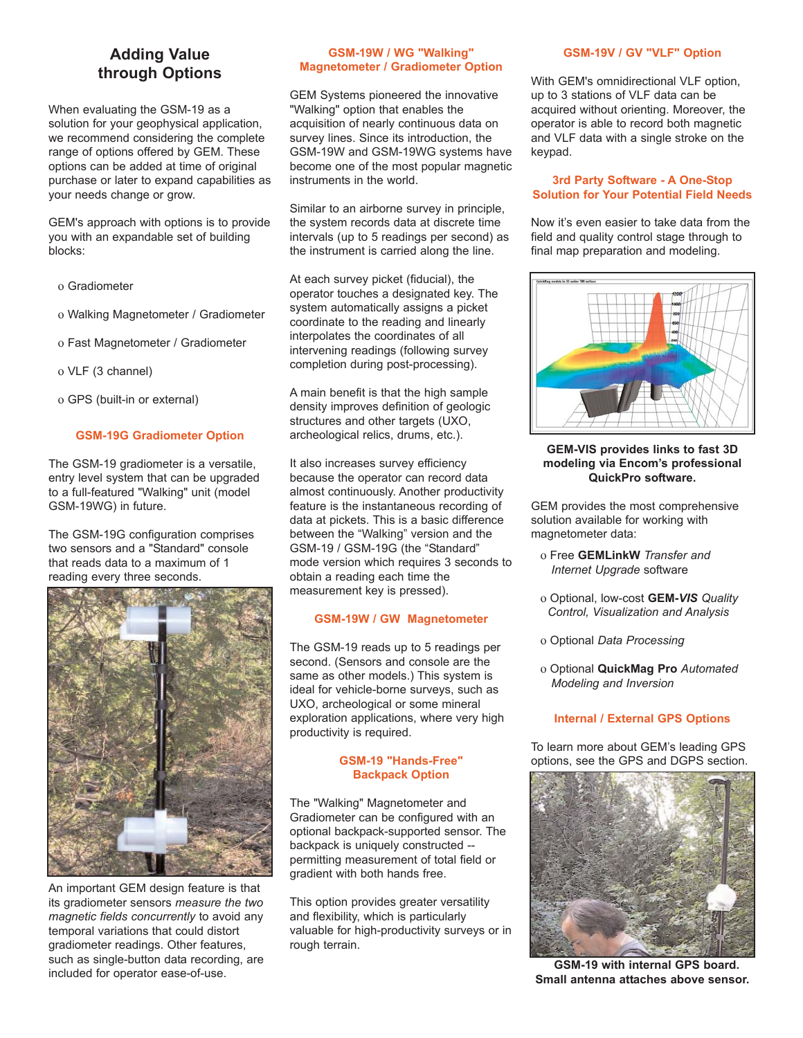# **Adding Value through Options**

When evaluating the GSM-19 as a solution for your geophysical application, we recommend considering the complete range of options offered by GEM. These options can be added at time of original purchase or later to expand capabilities as your needs change or grow.

GEM's approach with options is to provide you with an expandable set of building blocks:

- ο Gradiometer
- ο Walking Magnetometer / Gradiometer
- ο Fast Magnetometer / Gradiometer
- ο VLF (3 channel)
- ο GPS (built-in or external)

#### **GSM-19G Gradiometer Option**

The GSM-19 gradiometer is a versatile. entry level system that can be upgraded to a full-featured "Walking" unit (model GSM-19WG) in future.

The GSM-19G configuration comprises two sensors and a "Standard" console that reads data to a maximum of 1 reading every three seconds.



An important GEM design feature is that its gradiometer sensors *measure the two magnetic fields concurrently* to avoid any temporal variations that could distort gradiometer readings. Other features, such as single-button data recording, are included for operator ease-of-use.

#### **GSM-19W / WG "Walking" Magnetometer / Gradiometer Option**

GEM Systems pioneered the innovative "Walking" option that enables the acquisition of nearly continuous data on survey lines. Since its introduction, the GSM-19W and GSM-19WG systems have become one of the most popular magnetic instruments in the world.

Similar to an airborne survey in principle, the system records data at discrete time intervals (up to 5 readings per second) as the instrument is carried along the line.

At each survey picket (fiducial), the operator touches a designated key. The system automatically assigns a picket coordinate to the reading and linearly interpolates the coordinates of all intervening readings (following survey completion during post-processing).

A main benefit is that the high sample density improves definition of geologic structures and other targets (UXO, archeological relics, drums, etc.).

It also increases survey efficiency because the operator can record data almost continuously. Another productivity feature is the instantaneous recording of data at pickets. This is a basic difference between the "Walking" version and the GSM-19 / GSM-19G (the "Standard" mode version which requires 3 seconds to obtain a reading each time the measurement key is pressed).

#### **GSM-19W / GW Magnetometer**

The GSM-19 reads up to 5 readings per second. (Sensors and console are the same as other models.) This system is ideal for vehicle-borne surveys, such as UXO, archeological or some mineral exploration applications, where very high productivity is required.

#### **GSM-19 "Hands-Free" Backpack Option**

The "Walking" Magnetometer and Gradiometer can be configured with an optional backpack-supported sensor. The backpack is uniquely constructed - permitting measurement of total field or gradient with both hands free.

This option provides greater versatility and flexibility, which is particularly valuable for high-productivity surveys or in rough terrain.

#### **GSM-19V / GV "VLF" Option**

With GEM's omnidirectional VLF option, up to 3 stations of VLF data can be acquired without orienting. Moreover, the operator is able to record both magnetic and VLF data with a single stroke on the keypad.

#### **3rd Party Software - A One-Stop Solution for Your Potential Field Needs**

Now it's even easier to take data from the field and quality control stage through to final map preparation and modeling.



#### **GEM-VIS provides links to fast 3D modeling via Encom's professional QuickPro software.**

GEM provides the most comprehensive solution available for working with magnetometer data:

- ο Free **GEMLinkW** *Transfer and Internet Upgrade* software
- ο Optional, low-cost **GEM-***VIS Quality Control, Visualization and Analysis*
- ο Optional *Data Processing*
- ο Optional **QuickMag Pro** *Automated Modeling and Inversion*

#### **Internal / External GPS Options**

To learn more about GEM's leading GPS options, see the GPS and DGPS section.



**VGSM-19 with internal GPS board. Small antenna attaches above sensor.**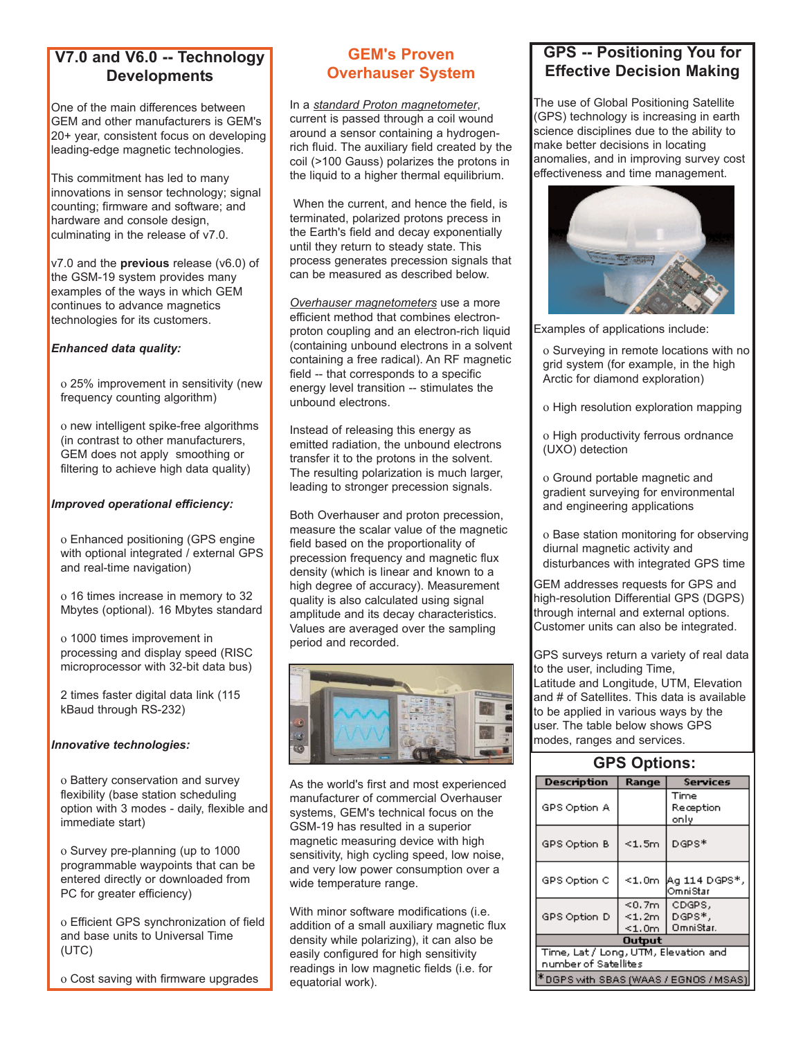# **V7.0 and V6.0 -- Technology Developments**

One of the main differences between GEM and other manufacturers is GEM's 20+ year, consistent focus on developing leading-edge magnetic technologies.

This commitment has led to many innovations in sensor technology; signal counting; firmware and software; and hardware and console design, culminating in the release of v7.0.

v7.0 and the **previous** release (v6.0) of the GSM-19 system provides many examples of the ways in which GEM continues to advance magnetics technologies for its customers.

## *Enhanced data quality:*

ο 25% improvement in sensitivity (new frequency counting algorithm)

ο new intelligent spike-free algorithms (in contrast to other manufacturers, GEM does not apply smoothing or filtering to achieve high data quality)

#### *Improved operational efficiency:*

ο Enhanced positioning (GPS engine with optional integrated / external GPS and real-time navigation)

ο 16 times increase in memory to 32 Mbytes (optional). 16 Mbytes standard

ο 1000 times improvement in processing and display speed (RISC microprocessor with 32-bit data bus)

2 times faster digital data link (115 kBaud through RS-232)

#### *Innovative technologies:*

ο Battery conservation and survey flexibility (base station scheduling option with 3 modes - daily, flexible and immediate start)

ο Survey pre-planning (up to 1000 programmable waypoints that can be entered directly or downloaded from PC for greater efficiency)

ο Efficient GPS synchronization of field and base units to Universal Time (UTC)

ο Cost saving with firmware upgrades

## **GEM's Proven Overhauser System**

In a *standard Proton magnetometer*, current is passed through a coil wound around a sensor containing a hydrogenrich fluid. The auxiliary field created by the coil (>100 Gauss) polarizes the protons in the liquid to a higher thermal equilibrium.

When the current, and hence the field, is terminated, polarized protons precess in the Earth's field and decay exponentially until they return to steady state. This process generates precession signals that can be measured as described below.

*Overhauser magnetometers* use a more efficient method that combines electronproton coupling and an electron-rich liquid (containing unbound electrons in a solvent containing a free radical). An RF magnetic field -- that corresponds to a specific energy level transition -- stimulates the unbound electrons.

Instead of releasing this energy as emitted radiation, the unbound electrons transfer it to the protons in the solvent. The resulting polarization is much larger, leading to stronger precession signals.

Both Overhauser and proton precession, measure the scalar value of the magnetic field based on the proportionality of precession frequency and magnetic flux density (which is linear and known to a high degree of accuracy). Measurement quality is also calculated using signal amplitude and its decay characteristics. Values are averaged over the sampling period and recorded.



As the world's first and most experienced manufacturer of commercial Overhauser systems, GEM's technical focus on the GSM-19 has resulted in a superior magnetic measuring device with high sensitivity, high cycling speed, low noise, and very low power consumption over a wide temperature range.

With minor software modifications (i.e. addition of a small auxiliary magnetic flux density while polarizing), it can also be easily configured for high sensitivity readings in low magnetic fields (i.e. for equatorial work).

## **GPS -- Positioning You for Effective Decision Making**

The use of Global Positioning Satellite (GPS) technology is increasing in earth science disciplines due to the ability to make better decisions in locating anomalies, and in improving survey cost effectiveness and time management.



Examples of applications include:

- ο Surveying in remote locations with no grid system (for example, in the high Arctic for diamond exploration)
- ο High resolution exploration mapping
- ο High productivity ferrous ordnance (UXO) detection

ο Ground portable magnetic and gradient surveying for environmental and engineering applications

ο Base station monitoring for observing diurnal magnetic activity and disturbances with integrated GPS time

GEM addresses requests for GPS and high-resolution Differential GPS (DGPS) through internal and external options. Customer units can also be integrated.

GPS surveys return a variety of real data to the user, including Time, Latitude and Longitude, UTM, Elevation and # of Satellites. This data is available to be applied in various ways by the user. The table below shows GPS modes, ranges and services.

| <b>GPS Options:</b>                                          |                                          |                               |  |  |  |
|--------------------------------------------------------------|------------------------------------------|-------------------------------|--|--|--|
| <b>Description</b>                                           | Range                                    | <b>Services</b>               |  |  |  |
| GPS Option A                                                 |                                          | Time<br>Reception<br>only     |  |  |  |
| GPS Option B                                                 | $<$ 1.5m                                 | DGPS*                         |  |  |  |
| GPS Option C                                                 | $<$ 1,0m $\,$                            | Aa 114 DGPS*,<br>Omnistar     |  |  |  |
| GPS Option D                                                 | $<$ 0.7 $m$<br>$<$ 1.2m $\,$<br>$<$ 1.0m | CDGPS,<br>DGPS*,<br>OmniStar. |  |  |  |
| Output                                                       |                                          |                               |  |  |  |
| Time, Lat / Long, UTM, Elevation and<br>number of Satellites |                                          |                               |  |  |  |
| DGPS with SBAS (WAAS / EGNOS / MSAS)                         |                                          |                               |  |  |  |